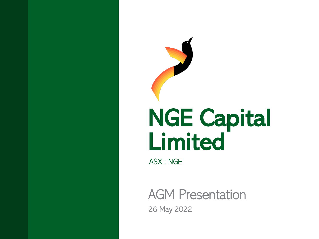

ASX : NGE

AGM Presentation 26 May 2022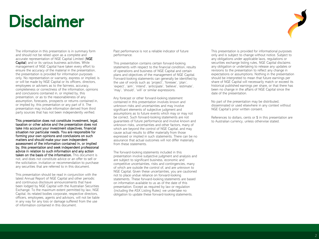### Disclaimer



The information in this presentation is in summary form and should not be relied upon as a complete and accurate representation of NGE Capital Limited (NGE Capital) and or its various business activities. While management of NGE Capital have taken every effort to ensure the accuracy of the material in the presentation, the presentation is provided for information purposes only. No representation or warranty, express or implied, is or will be made by NGE Capital or its officers, directors, employees or advisers as to the fairness, accuracy, completeness or correctness of the information, opinions and conclusions contained in, or implied by, this presentation, or as to the reasonableness of any assumption, forecasts, prospects or returns contained in, or implied by, this presentation or any part of it. The presentation may include information derived from third party sources that has not been independently verified.

This presentation does not constitute investment, legal, taxation or other advice and the presentation does not take into account your investment objectives, financial situation nor particular needs. You are responsible for forming your own opinions and conclusions on such matters and should make your own independent assessment of the information contained in, or implied by, this presentation and seek independent professional advice in relation to such information and any action taken on the basis of the information. This document is not, and does not constitute advice or an offer to sell or the solicitation, invitation or recommendation to purchase any securities that are referred to in this document.

This presentation should be read in conjunction with the latest Annual Report of NGE Capital and other periodic and continuous disclosure announcements that have been lodged by NGE Capital with the Australian Securities Exchange. To the maximum extent permitted by law, NGE Capital, its related bodies corporate, respective directors, officers, employees, agents and advisors, will not be liable in any way for any loss or damage suffered from the use of information contained in this document.

Past performance is not a reliable indicator of future performance.

This presentation contains certain forward-looking statements with respect to the financial condition, results of operations and business of NGE Capital and certain plans and objectives of the management of NGE Capital. Forward-looking statements can generally be identified by the use of words such as 'project', 'foresee', 'plan', 'expect', 'aim', 'intend', 'anticipate', 'believe', 'estimate', 'may', 'should', 'will' or similar expressions.

Any forecast or other forward-looking statement contained in this presentation involves known and unknown risks and uncertainties and may involve significant elements of subjective judgment and assumptions as to future events which may or may not be correct. Such forward-looking statements are not guarantees of future performance and involve known and unknown risks, uncertainties and other factors, many of which are beyond the control of NGE Capital, and may cause actual results to differ materially from those expressed or implied in such statements. There can be no assurance that actual outcomes will not differ materially from these statements.

The forward-looking statements included in this presentation involve subjective judgment and analysis and are subject to significant business, economic and competitive uncertainties, risks and contingencies, many of which are outside the control of, and are unknown to NGE Capital. Given these uncertainties, you are cautioned not to place undue reliance on forward-looking statements. These forward-looking statements are based on information available to us as of the date of this presentation. Except as required by law or regulation (including the ASX Listing Rules) we undertake no obligation to update these forward-looking statements.

This presentation is provided for informational purposes only and is subject to change without notice. Subject to any obligations under applicable laws, regulations or securities exchange listing rules, NGE Capital disclaims any obligation or undertaking to release any updates or revisions to the presentation to reflect any change in expectations or assumptions. Nothing in the presentation should be interpreted to mean that future earnings per share of NGE Capital will necessarily match or exceed its historical published earnings per share, or that there has been no change in the affairs of NGE Capital since the date of the presentation.

No part of the presentation may be distributed, disseminated or used elsewhere in any context without NGE Capital's prior written consent.

References to dollars, cents or \$ in this presentation are to Australian currency, unless otherwise stated.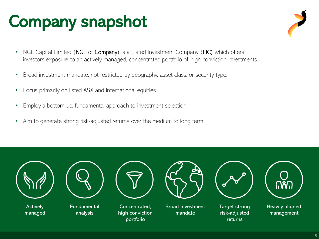### Company snapshot

- NGE Capital Limited (NGE or Company) is a Listed Investment Company (LIC) which offers investors exposure to an actively managed, concentrated portfolio of high conviction investments.
- Broad investment mandate, not restricted by geography, asset class, or security type.
- Focus primarily on listed ASX and international equities.
- Employ a bottom-up, fundamental approach to investment selection.
- Aim to generate strong risk-adjusted returns over the medium to long term.



**Actively** managed



Fundamental analysis



Concentrated, high conviction portfolio



Broad investment mandate



Target strong risk-adjusted returns



Heavily aligned management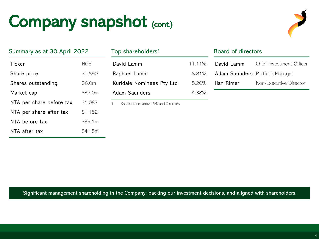### Company snapshot (cont.)



| Summary as at 30 April 2022 |         |  |  |  |  |
|-----------------------------|---------|--|--|--|--|
| Ticker                      | NGE     |  |  |  |  |
| Share price                 | \$0.890 |  |  |  |  |
| Shares outstanding          | 36.0m   |  |  |  |  |
| Market cap                  | \$32.0m |  |  |  |  |
| NTA per share before tax    | \$1.087 |  |  |  |  |
| NTA per share after tax     | \$1.152 |  |  |  |  |
| NTA before tax              | \$39.1m |  |  |  |  |
| NTA after tax               | \$41.5m |  |  |  |  |

| Summary as at 30 April 2022 |            | Top shareholders <sup>1</sup> | <b>Board of directors</b> |                  |    |
|-----------------------------|------------|-------------------------------|---------------------------|------------------|----|
| Ticker                      | <b>NGE</b> | David Lamm                    | $11.11\%$                 | David Lamm       | Ch |
| Share price                 | \$0.890    | Raphael Lamm                  | $8.81\%$                  | Adam Saunders Po |    |
| Shares outstanding          | 36.0m      | Kuridale Nominees Pty Ltd     | 5.20%                     | Ilan Rimer       | No |
| Market cap                  | \$32.0m    | Adam Saunders                 | 4.38%                     |                  |    |

1 Shareholders above 5% and Directors.

| Board of directors              |                          |  |  |  |  |
|---------------------------------|--------------------------|--|--|--|--|
| David Lamm                      | Chief Investment Officer |  |  |  |  |
| Adam Saunders Portfolio Manager |                          |  |  |  |  |
| llan Rimer                      | Non-Executive Director   |  |  |  |  |

Significant management shareholding in the Company: backing our investment decisions, and aligned with shareholders.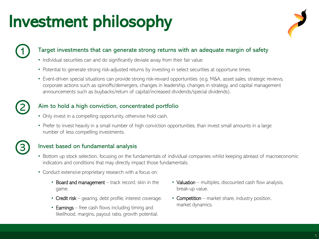### Investment philosophy



#### Target investments that can generate strong returns with an adequate margin of safety

- Individual securities can and do significantly deviate away from their fair value.
- Potential to generate strong risk-adjusted returns by investing in select securities at opportune times.
- Event-driven special situations can provide strong risk-reward opportunities (e.g. M&A, asset sales, strategic reviews, corporate actions such as spinoffs/demergers, changes in leadership, changes in strategy, and capital management announcements such as buybacks/return of capital/increased dividends/special dividends).

#### Aim to hold a high conviction, concentrated portfolio

- Only invest in a compelling opportunity, otherwise hold cash.
- Prefer to invest heavily in a small number of high conviction opportunities, than invest small amounts in a large number of less compelling investments.



2

1

#### Invest based on fundamental analysis

- Bottom up stock selection, focusing on the fundamentals of individual companies whilst keeping abreast of macroeconomic indicators and conditions that may directly impact those fundamentals.
- Conduct extensive proprietary research with a focus on:
	- Board and management track record, skin in the game.
	- Credit risk gearing, debt profile, interest coverage.
	- Earnings free cash flows including timing and likelihood, margins, payout ratio, growth potential.
- Valuation multiples, discounted cash flow analysis, break-up value.
- Competition market share, industry position, market dynamics.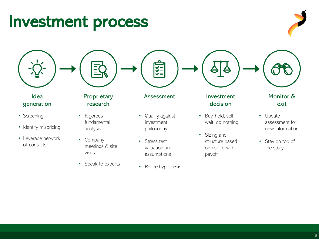### Investment process

#### Idea generation

- Screening
- Identify mispricing
- Leverage network of contacts

### **Proprietary** research

- Rigorous fundamental analysis
- Company meetings & site visits
- Speak to experts

### Assessment Investment

- Qualify against investment philosophy
- Stress test valuation and assumptions
- Refine hypothesis

### decision

- Buy, hold, sell, wait, do nothing
- Sizing and structure based on risk-reward payoff

#### Monitor & exit

- Update assessment for new information
- Stay on top of the story







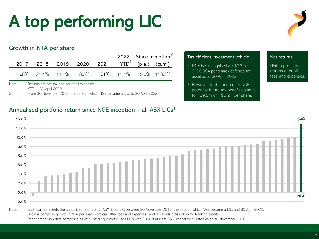## A top performing LIC

#### Growth in NTA per share

|  |                                                  |  |  | 2022 Since inception <sup>2</sup> |
|--|--------------------------------------------------|--|--|-----------------------------------|
|  | 2017 2018 2019 2020 2021 $YTD^1$ (p.a.) (cum.)   |  |  |                                   |
|  | 26.8% 21.4% 11.2% -8.0% 25.1% 11.1% 15.0% 113.2% |  |  |                                   |

Annualised portfolio return since NGE inception – all  $ASX$  LICs<sup>1</sup>

Note: Returns are pre-tax and net of all expenses.

1 YTD to 30 April 2022.

2 From 30 November 2016, the date on which NGE became a LIC, to 30 April 2022.

#### Tax efficient investment vehicle

- NGE has recognised a ~\$2.3m (~\$0.064 per share) deferred tax asset as at 30 April 2022.
- However, in the aggregate NGE's potential future tax benefit equates to ~\$9.5m or ~\$0.27 per share.

#### Net returns

NGE reports its returns after all fees and expenses.



Returns comprise growth in NTA per share (pre-tax, after fees and expenses) and dividends grossed up for franking credits.

1 Peer comparison data comprises all ASX-listed equities-focused LICs with FUM of at least A\$10m that were listed as at 30 November 2016.

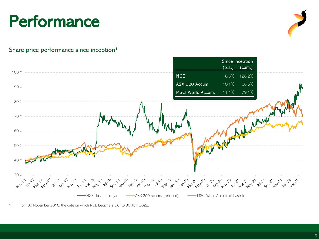### **Performance**



#### Share price performance since inception<sup>1</sup>



From 30 November 2016, the date on which NGE became a LIC, to 30 April 2022.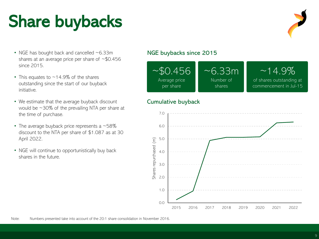### Share buybacks

- NGE has bought back and cancelled ~6.33m shares at an average price per share of ~\$0.456 since 2015.
- This equates to  $\sim$  14.9% of the shares outstanding since the start of our buyback initiative.
- We estimate that the average buyback discount would be ~30% of the prevailing NTA per share at the time of purchase.
- The average buyback price represents a  $~58\%$ discount to the NTA per share of \$1.087 as at 30 April 2022.
- NGE will continue to opportunistically buy back shares in the future.

#### NGE buybacks since 2015



#### Cumulative buyback

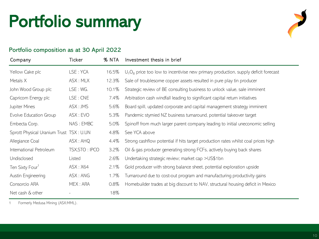### Portfolio summary

# 

#### Portfolio composition as at 30 April 2022

| Company                                 | Ticker         | % NTA | Investment thesis in brief                                                            |
|-----------------------------------------|----------------|-------|---------------------------------------------------------------------------------------|
| Yellow Cake plc                         | LSE: YCA       | 16.5% | $U_3O_8$ price too low to incentivise new primary production, supply deficit forecast |
| Metals X                                | ASX: MLX       | 12.3% | Sale of troublesome copper assets resulted in pure play tin producer                  |
| John Wood Group plc                     | LSE: WG.       | 10.1% | Strategic review of BE consulting business to unlock value, sale imminent             |
| Capricorn Energy plc                    | LSE: CNE       | 7.4%  | Arbitration cash windfall leading to significant capital return initiatives           |
| Jupiter Mines                           | ASX: JMS       | 5.6%  | Board spill, updated corporate and capital management strategy imminent               |
| Evolve Education Group                  | ASX: EVO       | 5.3%  | Pandemic stymied NZ business turnaround, potential takeover target                    |
| Embecta Corp.                           | NAS: EMBC      | 5.0%  | Spinoff from much larger parent company leading to initial uneconomic selling         |
| Sprott Physical Uranium Trust TSX: U.UN |                | 4.8%  | See YCA above                                                                         |
| Allegiance Coal                         | ASK: AHQ       | 4.4%  | Strong cashflow potential if hits target production rates whilst coal prices high     |
| International Petroleum                 | TSX, STO: IPCO | 3.2%  | Oil & gas producer generating strong FCFs, actively buying back shares                |
| Undisclosed                             | Listed         | 2.6%  | Undertaking strategic review; market cap >US\$1bn                                     |
| Ten Sixty Four <sup>1</sup>             | ASX: X64       | 2.1%  | Gold producer with strong balance sheet, potential exploration upside                 |
| Austin Engineering                      | ASX: ANG       | 1.7%  | Turnaround due to cost-out program and manufacturing productivity gains               |
| Consorcio ARA                           | MEX: ARA       | 0.8%  | Homebuilder trades at big discount to NAV, structural housing deficit in Mexico       |
| Net cash & other                        |                | 18%   |                                                                                       |

1 Formerly Medusa Mining (ASX:MML).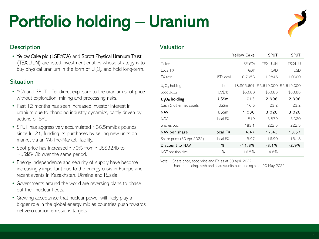### Portfolio holding – Uranium

#### Description Valuation Valuation

• Yellow Cake plc (LSE:YCA) and Sprott Physical Uranium Trust (TSX:U.UN) are listed investment entities whose strategy is to buy physical uranium in the form of  $U_3O_8$  and hold long-term.

#### **Situation**

- YCA and SPUT offer direct exposure to the uranium spot price without exploration, mining and processing risks.
- Past 12 months has seen increased investor interest in uranium due to changing industry dynamics, partly driven by actions of SPUT.
- SPUT has aggressively accumulated ~36.5mmlbs pounds since Jul-21, funding its purchases by selling new units onmarket via an "At-The-Market" facility.
- Spot price has increased ~70% from ~US\$32/lb to ~US\$54/lb over the same period.
- Energy independence and security of supply have become increasingly important due to the energy crisis in Europe and recent events in Kazakhstan, Ukraine and Russia.
- Governments around the world are reversing plans to phase out their nuclear fleets.
- Growing acceptance that nuclear power will likely play a bigger role in the global energy mix as countries push towards net-zero carbon emissions targets.

|                           |           | <b>Yellow Cake</b> | <b>SPUT</b>           | <b>SPUT</b> |
|---------------------------|-----------|--------------------|-----------------------|-------------|
| Ticker                    |           | LSE:YCA            | TSX:U.UN              | TSX:U.U     |
| Local FX                  |           | <b>GBP</b>         | CAD                   | <b>USD</b>  |
| FX rate                   | USD:local | 0.7953             | 1.2846                | 1.0000      |
| $U_3O_8$ holding          | lb        | 18,805,601         | 55,619,000 55,619,000 |             |
| $Spot U_3O_8$             | US\$/lb   | \$53.88            | \$53.88               | \$53.88     |
| $U_3O_8$ holding          | US\$m     | 1.013              | 2.996                 | 2.996       |
| Cash & other net assets   | US\$m     | 16.6               | 23.2                  | 23.2        |
| NAV                       | US\$m     | 1.030              | 3.020                 | 3.020       |
| <b>NAV</b>                | local FX  | 819                | 3,879                 | 3,020       |
| Shares out.               | m         | 183.1              | 222.5                 | 222.5       |
| NAV per share             | local FX  | 4.47               | 17.43                 | 13.57       |
| Share price (30 Apr 2022) | local FX  | 3.97               | 16.90                 | 13.18       |
| Discount to NAV           | %         | $-11.3%$           | $-3.1%$               | -2.9%       |
| NGE position size         | %         | 16.5%              | 4.8%                  |             |

Note: Share price, spot price and FX as at 30 April 2022. Uranium holding, cash and shares/units outstanding as at 20 May 2022.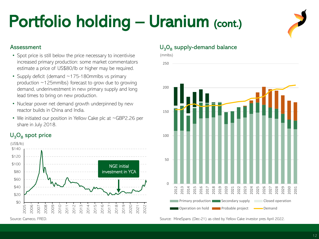### Portfolio holding - Uranium (cont.)

- Spot price is still below the price necessary to incentivise increased primary production: some market commentators estimate a price of US\$80/lb or higher may be required.
- Supply deficit (demand ~175-180mmlbs vs primary production ~125mmlbs) forecast to grow due to growing demand, underinvestment in new primary supply and long lead times to bring on new production.
- Nuclear power net demand growth underpinned by new reactor builds in China and India.
- We initiated our position in Yellow Cake plc at ~GBP2.26 per share in July 2018.

### $U_3O_8$  spot price



Source: Cameco, FRED.

### Assessment  $U_3O_8$  supply-demand balance

(mmlbs)



Source: MineSpans (Dec-21) as cited by Yellow Cake investor pres April 2022.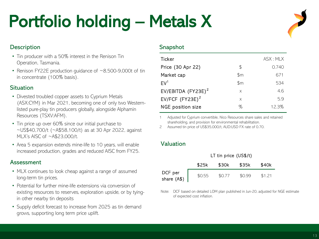### Portfolio holding – Metals X

#### **Description**

- Tin producer with a 50% interest in the Renison Tin Operation, Tasmania.
- Renison FY22E production quidance of ~8,500-9,000t of tin in concentrate (100% basis).

#### **Situation**

- Divested troubled copper assets to Cyprium Metals (ASX:CYM) in Mar 2021, becoming one of only two Westernlisted pure-play tin producers globally, alongside Alphamin Resources (TSXV:AFM).
- Tin price up over 60% since our initial purchase to ~US\$40,700/t (~A\$58,100/t) as at 30 Apr 2022, against MLX's AISC of ~A\$23,000/t.
- Area 5 expansion extends mine-life to 10 years, will enable increased production, grades and reduced AISC from FY25.

#### Assessment

- MLX continues to look cheap against a range of assumed long-term tin prices.
- Potential for further mine-life extensions via conversion of existing resources to reserves, exploration upside, or by tyingin other nearby tin deposits
- Supply deficit forecast to increase from 2025 as tin demand grows, supporting long term price uplift.

#### Snapshot

| Ticker                |               | ASS: MIX |
|-----------------------|---------------|----------|
| Price (30 Apr 22)     | \$.           | 0.740    |
| Market cap            | \$m           | 671      |
| EV <sup>1</sup>       | $\mathsf{Sm}$ | 534      |
| EV/EBITDA $(FYZ3E)^2$ | X             | 4.6      |
| EV/FCF $(FY23E)^2$    | X             | 5.9      |
| NGE position size     | %             | 12.3%    |

1 Adjusted for Cyprium convertible, Nico Resources share sales and retained shareholding, and provision for environmental rehabilitation.

2 Assumed tin price of US\$35,000/t, AUD:USD FX rate of 0.70.

#### Valuation

|                        | LT tin price $(US$/t)$ |        |        |        |  |
|------------------------|------------------------|--------|--------|--------|--|
|                        | \$25k                  | \$30k  | \$35k  | \$40k  |  |
| DCF per<br>share (A\$) | \$0.55                 | \$0.77 | \$0.99 | \$1.21 |  |

Note: DCF based on detailed LOM plan published in Jun-20, adjusted for NGE estimate of expected cost inflation.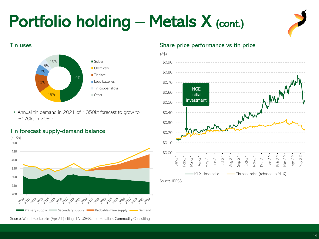### Portfolio holding - Metals X (cont.)







• Annual tin demand in 2021 of ~350kt forecast to grow to ~470kt in 2030.

#### Tin forecast supply-demand balance



#### Tin uses The United States of the Share price performance vs tin price



Source: IRESS.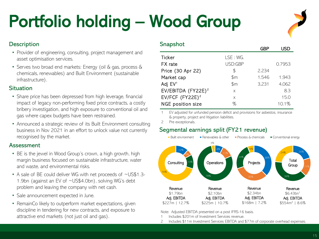## Portfolio holding – Wood Group

#### **Description**

- Provider of engineering, consulting, project management and asset optimisation services.
- Serves two broad end markets: Energy (oil & gas, process & chemicals, renewables) and Built Environment (sustainable infrastructure).

#### **Situation**

- Share price has been depressed from high leverage, financial impact of legacy non-performing fixed price contracts, a costly bribery investigation, and high exposure to conventional oil and gas where capex budgets have been restrained.
- Announced a strategic review of its Built Environment consulting business in Nov 2021 in an effort to unlock value not currently recognised by the market.

#### Assessment

- BE is the jewel in Wood Group's crown, a high growth, high margin business focused on sustainable infrastructure, water and waste, and environmental risks.
- A sale of BE could deliver WG with net proceeds of ~US\$1.3-1.9bn (against an EV of ~US\$4.0bn), solving WG's debt problem and leaving the company with net cash.
- Sale announcement expected in June.
- RemainCo likely to outperform market expectations, given discipline in tendering for new contracts, and exposure to attractive end markets (not just oil and gas).

#### **Snapshot**

|                                |          | GRP   |        |
|--------------------------------|----------|-------|--------|
| Ticker                         | LSE: WG. |       |        |
| FX rate                        | USD:GBP  |       | 0.7953 |
| Price (30 Apr 22)              | \$       | 2.234 |        |
| Market cap                     | \$m\$    | 1,546 | 1,943  |
| Adj EV <sup>1</sup>            | \$m\$    | 3,231 | 4,062  |
| EV/EBITDA (FY22E) <sup>2</sup> | X        |       | 8.3    |
| EV/FCF (FY22E) <sup>2</sup>    | X        |       | 15.0   |
| NGE position size              | ℅        |       | 10.1%  |
|                                |          |       |        |

EV adjusted for unfunded pension deficit and provisions for asbestos, insurance & property, project and litigation liabilities.

2 Pre exceptionals.

#### Segmental earnings split (FY21 revenue)



Note: Adjusted EBITDA presented on a post IFRS-16 basis.

- 1 Includes \$201m of Investment Services revenue.
- 2 Includes \$11m Investment Services EBITDA and \$77m of corporate overhead expenses.

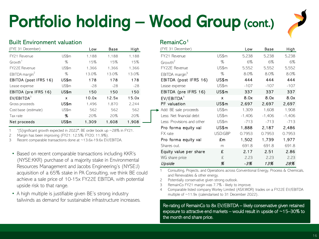## Portfolio holding – Wood Group (cont.)

#### Built Environment valuation and a series of RemainCo<sup>1</sup>

| (FYE 31 December)          |       | Low   | Base  | High  | (FYE 31 December)          |
|----------------------------|-------|-------|-------|-------|----------------------------|
| FY21 Revenue               | US\$m | 1,188 | 1,188 | 1,188 | FY21 Revenue               |
| Growth <sup>1</sup>        | %     | 15%   | 15%   | 15%   | Growth <sup>2</sup>        |
| FY22E Revenue              | US\$m | 1,366 | 1,366 | 1,366 | FY22E Revenue              |
| EBITDA margin <sup>2</sup> | $\%$  | 13.0% | 13.0% | 13.0% | EBITDA margin <sup>3</sup> |
| EBITDA (post IFRS 16)      | US\$m | 178   | 178   | 178   | EBITDA (post II            |
| Lease expense              | US\$m | $-28$ | $-28$ | $-28$ | Lease expense              |
| EBITDA (pre IFRS 16)       | US\$m | 150   | 150   | 150   | EBITDA (pre IFI            |
| EV/EBITDA <sup>3</sup>     | X     | 10.0x | 12.5x | 15.0x | EV/EBITDA <sup>4</sup>     |
| Gross proceeds             | US\$m | 1,496 | 1,870 | 2,244 | PF valuation               |
| Cost base (estimate)       | US\$m | 562   | 562   | 562   | Add: BE sale proce         |
| Tax rate                   | %     | 20%   | 20%   | 20%   | Less: Net financial        |
| Net proceeds               | US\$m | 1,309 | 1,608 | 1,908 | Less: Provisions ar        |
|                            |       |       |       |       |                            |

1 "[S]ignificant growth expected in 2022"; BE order book up ~28% in FY21.

2 Margin has been improving (FY21: 12.5%; FY20: 11.9%).

3 Recent comparable transactions done at ~13.6x-19.6x EV/EBITDA.

- Based on recent comparable transactions including KKR's (NYSE:KKR) purchase of a majority stake in Environmental Resources Management and Jacobs Engineering's (NYSE:J) acquisition of a 65% stake in PA Consulting, we think BE could achieve a sale price of 10-15x FY22E EBITDA, with potential upside risk to that range.
- A high multiple is justifiable given BE's strong industry tailwinds as demand for sustainable infrastructure increases.

| (FYE 31 December)          |         | Low      | Base     | High     |
|----------------------------|---------|----------|----------|----------|
| FY21 Revenue               | US\$m   | 5,238    | 5,238    | 5,238    |
| Growth <sup>2</sup>        | $\%$    | 6%       | 6%       | 6%       |
| FY22E Revenue              | US\$m   | 5,552    | 5,552    | 5,552    |
| EBITDA margin <sup>3</sup> | %       | 8.0%     | $8.0\%$  | 8.0%     |
| EBITDA (post IFRS 16)      | US\$m   | 444      | 444      | 444      |
| Lease expense              | US\$m   | $-107$   | $-107$   | $-107$   |
| EBITDA (pre IFRS 16)       | US\$m   | 337      | 337      | 337      |
| EV/EBITDA <sup>4</sup>     | x       | 8.0x     | 8.0x     | 8.0x     |
| PF valuation               | US\$m   | 2,697    | 2,697    | 2,697    |
| Add: BE sale proceeds      | US\$m   | 1,309    | 1,608    | 1,908    |
| Less: Net financial debt   | US\$m   | $-1,406$ | $-1,406$ | $-1,406$ |
| Less: Provisions and other | US\$m   | $-713$   | $-713$   | $-713$   |
| Pro forma equity val       | US\$m   | 1,888    | 2.187    | 2,486    |
| FX rate                    | USD:GBP | 0.7953   | 0.7953   | 0.7953   |
| Pro forma equity val       | £m      | 1,502    | 1,739    | 1,977    |
| Shares out.                | m       | 691.8    | 691.8    | 691.8    |
| Equity value per share     | £       | 2.17     | 2.51     | 2.86     |
| WG share price             | £       | 2.23     | 2.23     | 2.23     |
| Upside                     | %       | -3%      | 13%      | 28%      |

1 Consulting, Projects, and Operations across Conventional Energy, Process & Chemicals, and Renewables & other energy.

2 Potentially conservative given strong outlook.

3 RemainCo FY21 margin was 7.7% - likely to improve.

4 Comparable listed company Worley Limited (ASX:WOR) trades on a FY22E EV/EBITDA multiple of ~11.9x (calendarised to 31 December 2022).

Re-rating of RemainCo to 8x EV/EBITDA – likely conservative given retained exposure to attractive end markets – would result in upside of  $\sim$  15–30% to the month end share price.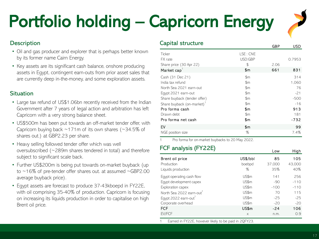## Portfolio holding – Capricorn Energy



Low High

#### **Description**

- Oil and gas producer and explorer that is perhaps better known by its former name Cairn Energy.
- Key assets are its significant cash balance, onshore producing assets in Egypt, contingent earn-outs from prior asset sales that are currently deep in-the-money, and some exploration assets.

#### **Situation**

- Large tax refund of US\$1.06bn recently received from the Indian Government after 7 years of legal action and arbitration has left Capricorn with a very strong balance sheet.
- US\$500m has been put towards an off-market tender offer, with Capricorn buying back ~171m of its own shares (~34.5% of shares out.) at GBP2.23 per share.
- Heavy selling followed tender offer which was well oversubscribed (~289m shares tendered in total) and therefore subject to significant scale back.
- Further US\$200m is being put towards on-market buyback (up to ~16% of pre-tender offer shares out. at assumed ~GBP2.00 average buyback price).
- Egypt assets are forecast to produce 37-43kboepd in FY22E, with oil comprising 35-40% of production. Capricorn is focusing on increasing its liquids production in order to capitalise on high Brent oil price.

| Capital structure                            |                           | GBP  | USD    |
|----------------------------------------------|---------------------------|------|--------|
| Ticker<br>FX rate<br>Share price (30 Apr 22) | LSE: CNE<br>USD:GBP<br>\$ | 2.06 | 0.7953 |
| Market cap <sup>1</sup>                      | \$m                       | 661  | 831    |
| Cash (31 Dec 21)                             | \$m                       |      | 314    |
| India tax refund                             | $\mathbb{S}$ m            |      | 1,060  |
| North Sea 2021 earn-out                      | $\mathbb{S}$ m            |      | 76     |
| Egypt 2021 earn-out                          | $\mathbb{S}$ m            |      | $-21$  |
| Share buyback (tender offer)                 | \$m                       |      | $-500$ |
| Share buyback (on-market) <sup>1</sup>       | \$m                       |      | $-16$  |
| Pro forma cash                               | \$m                       |      | 913    |
| Drawn debt                                   | \$m\$                     |      | 181    |
| Pro forma net cash                           | \$m                       |      | -732   |
| EV                                           | \$m                       |      | 99     |
| NGE position size                            | %                         |      | 7.4%   |

1 Pro forma for on-market buybacks to 20 May 2022.

### FCF analysis (FY22E)

| Brent oil price<br>Production<br>Liquids production | US\$/bbl<br>boebpd<br>% | 85<br>37.000<br>35% | $\sim$<br>105<br>43,000<br>40% |
|-----------------------------------------------------|-------------------------|---------------------|--------------------------------|
| Egypt operating cash flow                           | US\$m                   | 141                 | 256                            |
| Egypt development capex                             | US\$m                   | $-90$               | $-110$                         |
| Exploration capex                                   | US\$m                   | $-100$              | $-110$                         |
| North Sea 2022 earn-out                             | US\$m                   | 70                  | 115                            |
| Eqypt 2022 earn-out                                 | US\$m                   | $-25$               | $-25$                          |
| Corporate overhead                                  | US\$m                   | $-20$               | $-20$                          |
| FCF                                                 | US\$m                   | $-24$               | 106                            |
| EV/FCF                                              | $\times$                | n.m.                | 0.9                            |

Earned in FY22E, however likely to be paid in 2QFY23.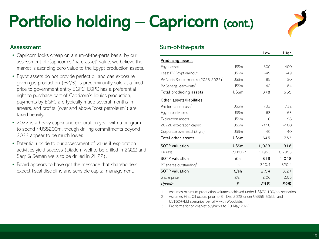## Portfolio holding – Capricorn (cont.)



#### Assessment

- Capricorn looks cheap on a sum-of-the-parts basis: by our assessment of Capricorn's "hard asset" value, we believe the market is ascribing zero value to the Egypt production assets.
- Egypt assets do not provide perfect oil and gas exposure given gas production  $(\sim 2/3)$  is predominantly sold at a fixed price to government entity EGPC, EGPC has a preferential right to purchase part of Capricorn's liquids production, payments by EGPC are typically made several months in arrears, and profits (over and above "cost petroleum") are taxed heavily.
- 2022 is a heavy capex and exploration year with a program to spend ~US\$200m, though drilling commitments beyond 2022 appear to be much lower.
- Potential upside to our assessment of value if exploration activities yield success (Diadem well to be drilled in 2Q22 and Saqr & Seman wells to be drilled in 2H22).
- Board appears to have got the message that shareholders expect fiscal discipline and sensible capital management.

#### Sum-of-the-parts

|         | Low       | High   |
|---------|-----------|--------|
|         |           |        |
| US\$m   | 300       | 400    |
| US\$m   | $-49$     | $-49$  |
| US\$m   | 85        | 130    |
| US\$m   | 42        | 84     |
| US\$m   | 378       | 565    |
|         |           |        |
| US\$m   | 732       | 732    |
| US\$m   | 63        | 63     |
| US\$m   | $\bigcap$ | 98     |
| US\$m   | $-110$    | $-100$ |
| US\$m   | $-40$     | $-40$  |
| US\$m   | 645       | 753    |
| US\$m   | 1,023     | 1,318  |
| USD:GBP | 0.7953    | 0.7953 |
| £m      | 813       | 1,048  |
| m       | 320.4     | 320.4  |
| £/sh    | 2.54      | 3.27   |
| $E/\sh$ | 2.06      | 2.06   |
| Х       | 23%       | 59%    |
|         |           |        |

Assumes minimum production volumes achieved under US\$70-100/bbl scenarios.

2 Assumes First Oil occurs prior to 31 Dec 2023 under US\$55-60/bbl and US\$60+/bbl scenarios per SPA with Woodside.

3 Pro forma for on-market buybacks to 20 May 2022.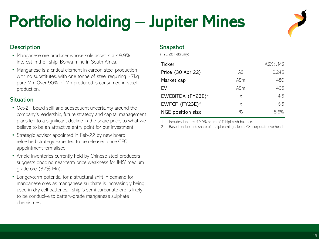## Portfolio holding – Jupiter Mines

#### **Description**

- Manganese ore producer whose sole asset is a 49.9% interest in the Tshipi Borwa mine in South Africa.
- Manganese is a critical element in carbon steel production with no substitutes, with one tonne of steel requiring  $\sim$ 7kg pure Mn. Over 90% of Mn produced is consumed in steel production.

#### **Situation**

- Oct-21 board spill and subsequent uncertainty around the company's leadership, future strategy and capital management plans led to a significant decline in the share price, to what we believe to be an attractive entry point for our investment.
- Strategic advisor appointed in Feb-22 by new board, refreshed strategy expected to be released once CEO appointment formalised.
- Ample inventories currently held by Chinese steel producers suggests ongoing near-term price weakness for JMS' medium grade ore (37% Mn).
- Longer-term potential for a structural shift in demand for manganese ores as manganese sulphate is increasingly being used in dry cell batteries. Tshipi's semi-carbonate ore is likely to be conducive to battery-grade manganese sulphate chemistries.

#### Snapshot

|      | ASX : JMS |
|------|-----------|
| A\$  | 0.245     |
| A\$m | 480       |
| A\$m | 405       |
| X    | 4.5       |
| X    | 6.5       |
| %    | 5.6%      |
|      |           |

Includes Jupiter's 49.9% share of Tshipi cash balance.

2 Based on Jupiter's share of Tshipi earnings, less JMS' corporate overhead.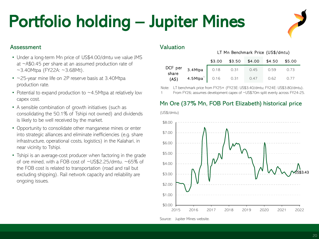### Portfolio holding – Jupiter Mines

#### Assessment

- Under a long-term Mn price of US\$4.00/dmtu we value JMS at ~A\$0.45 per share at an assumed production rate of  $~\sim$ 3.40Mtpa (FY22A:  $~\sim$ 3.68Mt).
- ~25-year mine life on 2P reserve basis at 3.40Mtpa production rate.
- Potential to expand production to  $\sim$  4.5Mtpa at relatively low capex cost.
- A sensible combination of growth initiatives (such as consolidating the 50.1% of Tshipi not owned) and dividends is likely to be well received by the market.
- Opportunity to consolidate other manganese mines or enter into strategic alliances and eliminate inefficiencies (e.g. share infrastructure, operational costs, logistics) in the Kalahari, in near vicinity to Tshipi.
- Tshipi is an average-cost producer when factoring in the grade of ore mined, with a FOB cost of ~US\$2.25/dmtu. ~65% of the FOB cost is related to transportation (road and rail but excluding shipping). Rail network capacity and reliability are ongoing issues.

#### Valuation

(US\$/dmtu)

#### LT Mn Benchmark Price (US\$/dmtu)

|              |                                | \$3.00 | $$3.50$ $$4.00$ $$4.50$ $$5.00$ |      |      |
|--------------|--------------------------------|--------|---------------------------------|------|------|
|              | DCF per 3.4Mtpa 0.18 0.31 0.45 |        |                                 | 0.59 | 0.73 |
| $(A\hat{S})$ | 4.5Mtpa <sup>1</sup> 0.16 0.31 |        | 0.47                            | 0.62 | 0.77 |

Note: LT benchmark price from FY25+ (FY23E: US\$3.40/dmtu; FY24E: US\$3.80/dmtu).

From FY26; assumes development capex of ~US\$70m split evenly across FY24-25.

#### Mn Ore (37% Mn, FOB Port Elizabeth) historical price



Source: Jupiter Mines website.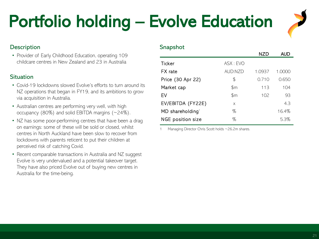### Portfolio holding – Evolve Education



#### **Description**

• Provider of Early Childhood Education, operating 109 childcare centres in New Zealand and 23 in Australia

#### **Situation**

- Covid-19 lockdowns slowed Evolve's efforts to turn around its NZ operations that began in FY19, and its ambitions to grow via acquisition in Australia.
- Australian centres are performing very well, with high occupancy (80%) and solid EBITDA margins (~24%).
- NZ has some poor-performing centres that have been a drag on earnings: some of these will be sold or closed, whilst centres in North Auckland have been slow to recover from lockdowns with parents reticent to put their children at perceived risk of catching Covid.
- Recent comparable transactions in Australia and NZ suggest Evolve is very undervalued and a potential takeover target. They have also priced Evolve out of buying new centres in Australia for the time-being.

#### Snapshot

|                                |          | NZD    | <b>AUD</b> |
|--------------------------------|----------|--------|------------|
| Ticker                         | ASX: EVO |        |            |
| FX rate                        | AUD:NZD  | 1.0937 | 1.0000     |
| Price (30 Apr 22)              | \$       | 0.710  | 0.650      |
| Market cap                     | \$m\$    | 113    | 104        |
| EV                             | \$m      | 102    | 93         |
| EV/EBITDA (FY22E)              | X        |        | 4.3        |
| $MD$ shareholding <sup>1</sup> | %        |        | 16.4%      |
| NGE position size              | %        |        | 5.3%       |

Managing Director Chris Scott holds ~26.2m shares.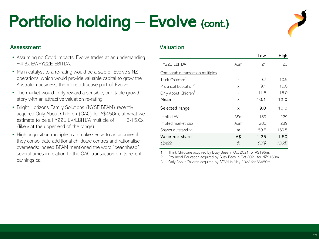### Portfolio holding - Evolve (cont.)

#### Assessment

- Assuming no Covid impacts, Evolve trades at an undemanding  $~\sim$ 4.3x EV/FY22E EBITDA.
- Main catalyst to a re-rating would be a sale of Evolve's NZ operations, which would provide valuable capital to grow the Australian business, the more attractive part of Evolve.
- The market would likely reward a sensible, profitable growth story with an attractive valuation re-rating.
- Bright Horizons Family Solutions (NYSE:BFAM) recently acquired Only About Children (OAC) for A\$450m, at what we estimate to be a FY22E EV/EBITDA multiple of ~11.5-15.0x (likely at the upper end of the range).
- High acquisition multiples can make sense to an acquirer if they consolidate additional childcare centres and rationalise overheads: indeed BFAM mentioned the word "beachhead" several times in relation to the OAC transaction on its recent earnings call.

#### Valuation

|      | Low   | High  |
|------|-------|-------|
| A\$m | 21    | 23    |
|      |       |       |
| X    | 9.7   | 10.9  |
| X    | 9.1   | 10.0  |
| X    | 11.5  | 15.0  |
| X    | 10.1  | 12.0  |
| x    | 9.0   | 10.0  |
| A\$m | 189   | 229   |
| A\$m | 200   | 239   |
| m    | 159.5 | 159.5 |
| A\$  | 1.25  | 1.50  |
| %    | 93%   | 130%  |
|      |       |       |

1 Think Childcare acquired by Busy Bees in Oct 2021 for A\$196m.

2 Provincial Education acquired by Busy Bees in Oct 2021 for NZ\$160m.

3 Only About Children acquired by BFAM in May 2022 for A\$450m.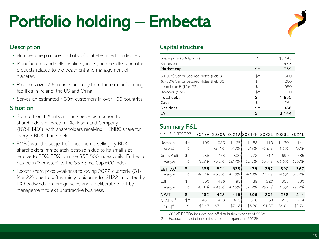### Portfolio holding – Embecta



#### **Description**

- Number one producer globally of diabetes injection devices.
- Manufactures and sells insulin syringes, pen needles and other products related to the treatment and management of diabetes.
- Produces over 7.6bn units annually from three manufacturing facilities in Ireland, the US and China.
- Serves an estimated ~30m customers in over 100 countries.

#### **Situation**

- Spun-off on 1 April via an in-specie distribution to shareholders of Becton, Dickinson and Company (NYSE:BDX), with shareholders receiving 1 EMBC share for every 5 BDX shares held.
- EMBC was the subject of uneconomic selling by BDX shareholders immediately post-spin due to its small size relative to BDX: BDX is in the S&P 500 index whilst Embecta has been "demoted" to the S&P SmallCap 600 index.
- Recent share price weakness following 2Q22 quarterly (31- Mar-22) due to soft earnings guidance for 2H22 impacted by FX headwinds on foreign sales and a deliberate effort by management to exit unattractive business.

#### Capital structure

| Share price (30-Apr-22)              | \$             | \$30.43 |
|--------------------------------------|----------------|---------|
| Shares out.                          | m              | 57.8    |
| Market cap                           | Sm             | 1,759   |
| 5.000% Senior Secured Notes (Feb-30) | $\mathfrak{m}$ | 500     |
| 6.750% Senior Secured Notes (Feb-30) | \$m            | 200     |
| Term Loan B (Mar-28)                 | \$m            | 950     |
| Revolver (5 yr)                      | $\mathfrak{m}$ | Ω       |
| Total debt                           | Sm             | 1,650   |
| Cash                                 | $\mathbb{S}$ m | 264     |
| Net debt                             | \$m            | 1,386   |
| EV                                   | \$m            | 3.144   |
|                                      |                |         |

#### Summary P&L

| (FYE 30 September)     |          |              |                   |               | 2019A 2020A 2021A 2021PF 2022E 2023E 2024E |                   |               |                  |
|------------------------|----------|--------------|-------------------|---------------|--------------------------------------------|-------------------|---------------|------------------|
| Revenue<br>Growth      | \$m<br>% | 1.109        | 1,086<br>$-2.1\%$ | 1,165<br>7.3% | 1,188<br>$9.4\%$                           | 1,119<br>$-5.8\%$ | 1,130<br>1.0% | 1,141<br>$1.0\%$ |
| Gross Profit<br>Margin | \$m<br>% | 786<br>70.9% | 763<br>70.3%      | 800<br>68.7%  | 778<br>65.5%                               | 712<br>63.7%      | 699<br>61.8%  | 685<br>60.0%     |
| EBITDA <sup>1</sup>    | Sm       | 536          | 524               | 533           | 475                                        | 357               | 390           | 367              |
| Margin                 | %        | 48.3%        | 48.3%             | 45.8%         | 40.0%                                      | 31.9%             | 34.5%         | 32.2%            |
| <b>FBIT</b>            | \$m      | 500          | 486               | 495           | 438                                        | 320               | 353           | 330              |
| Margin                 | %        | $4.5.1\%$    | 44.8%             | 42.5%         | 36.9%                                      | 28.6%             | 31.3%         | 28.9%            |
| <b>NPAT</b>            | \$m      | 432          | 428               | 415           | 306                                        | 205               | 233           | 214              |
| NPAT $\text{adj}^2$    | \$m      | 432          | 428               | 415           | 306                                        | 253               | 233           | 214              |
| EPS $\text{adj}^2$     | \$       | \$7.47       | \$7.41            | \$7.18        | \$5.30                                     | \$4.37            | \$4.04        | \$3.70           |

1 2022E EBITDA includes one-off distribution expense of \$56m.

2 Excludes impact of one-off distribution expense in 2022E.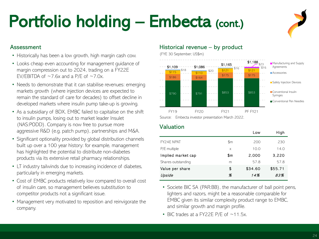## Portfolio holding - Embecta (cont.)

#### Assessment

- Historically has been a low growth, high margin cash cow.
- Looks cheap even accounting for management guidance of margin compression out to 2024, trading on a FY22E EV/EBITDA of  $\sim$  7.6x and a P/E of  $\sim$  7.0x.
- Needs to demonstrate that it can stabilise revenues: emerging markets growth (where injection devices are expected to remain the standard of care for decades) to offset decline in developed markets where insulin pump take-up is growing.
- As a subsidiary of BDX, EMBC failed to capitalise on the shift to insulin pumps, losing out to market leader Insulet (NAS:PODD). Company is now free to pursue more aggressive R&D (e.g. patch pump), partnerships and M&A.
- Significant optionality provided by global distribution channels built up over a 100 year history: for example, management has highlighted the potential to distribute non-diabetes products via its extensive retail pharmacy relationships.
- LT industry tailwinds due to increasing incidence of diabetes, particularly in emerging markets.
- Cost of EMBC products relatively low compared to overall cost of insulin care, so management believes substitution to competitor products not a significant issue.
- Management very motivated to reposition and reinvigorate the company.

#### Historical revenue – by product

(FYE 30 September; US\$m)



Source: Embecta investor presentation March 2022.

#### Valuation

|                    |          | Low     | High    |
|--------------------|----------|---------|---------|
| FY24F NPAT         | \$m      | 200     | 230     |
| P/E multiple       | $\times$ | 10.0    | 14.0    |
| Implied market cap | \$m      | 2,000   | 3.220   |
| Shares outstanding | m        | 57.8    | 57.8    |
| Value per share    | \$       | \$34.60 | \$55.71 |
| Upside             | Х        | 14%     | 83%     |
|                    |          |         |         |

• Societe BIC SA (PAR:BB), the manufacturer of ball point pens, lighters and razors, might be a reasonable comparable for EMBC given its similar complexity product range to EMBC, and similar growth and margin profile.

• BIC trades at a FY22E P/E of ~11.5x.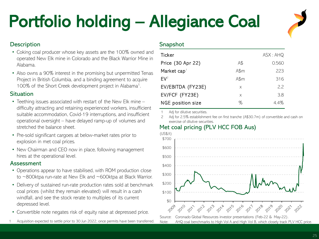## Portfolio holding – Allegiance Coal

#### **Description**

- Coking coal producer whose key assets are the 100% owned and operated New Elk mine in Colorado and the Black Warrior Mine in Alabama.
- Also owns a 90% interest in the promising but unpermitted Tenas Project in British Columbia, and a binding agreement to acquire 100% of the Short Creek development project in Alabama<sup>1</sup>.

#### **Situation**

- Teething issues associated with restart of the New Elk mine difficulty attracting and retaining experienced workers, insufficient suitable accommodation, Covid-19 interruptions, and insufficient operational oversight – have delayed ramp-up of volumes and stretched the balance sheet.
- Pre-sold significant cargoes at below-market rates prior to explosion in met coal prices.
- New Chairman and CEO now in place, following management hires at the operational level.

#### Assessment

- Operations appear to have stabilised, with ROM production close to ~800ktpa run-rate at New Elk and ~600ktpa at Black Warrior.
- Delivery of sustained run-rate production rates sold at benchmark coal prices (whilst they remain elevated) will result in a cash windfall, and see the stock rerate to multiples of its current depressed level.
- Convertible note negates risk of equity raise at depressed price.
- Acquisition expected to settle prior to 30 Jun 2022, once permits have been transferred

#### Snapshot

| Ticker                   |      | ASK: AHQ |
|--------------------------|------|----------|
| Price (30 Apr 22)        | A\$  | 0.560    |
| Market cap <sup>1</sup>  | A\$m | 223      |
| $FV^2$                   | A\$m | 316      |
| EV/EBITDA (FY23E)        | X    | 2.2      |
| EV/FCF (FY23E)           | X    | 3.8      |
| <b>NGE position size</b> | ℅    | 4.4%     |

Adj for dilutive securities.

2 Adj for 2.5% establishment fee on first tranche (A\$30.7m) of convertible and cash on exercise of dilutive securities.

#### Met coal pricing (PLV HCC FOB Aus)

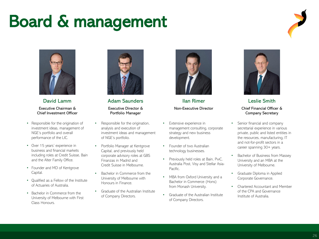### Board & management





David Lamm Executive Chairman & Chief Investment Officer

- Responsible for the origination of investment ideas, management of NGE's portfolio and overall performance of the LIC.
- Over 15 years' experience in business and financial markets including roles at Credit Suisse, Bain and the Alter Family Office.
- Founder and MD of Kentgrove Capital.
- Qualified as a Fellow of the Institute of Actuaries of Australia.
- Bachelor in Commerce from the University of Melbourne with First Class Honours.



Adam Saunders Executive Director & Portfolio Manager

- Responsible for the origination, analysis and execution of investment ideas and management of NGE's portfolio.
- Portfolio Manager at Kentgrove Capital, and previously held corporate advisory roles at GBS Finanzas in Madrid and Credit Suisse in Melbourne.
- Bachelor in Commerce from the University of Melbourne with Honours in Finance.
- Graduate of the Australian Institute of Company Directors.



Ilan Rimer Non-Executive Director

- Extensive experience in management consulting, corporate strategy and new business development.
- Founder of two Australian technology businesses.
- Previously held roles at Bain, PwC, Australia Post, Visy and Stellar Asia-**Pacific**
- MBA from Oxford University and a Bachelor in Commerce (Hons) from Monash University.
- Graduate of the Australian Institute of Company Directors.



Leslie Smith Chief Financial Officer & Company Secretary

- Senior financial and company secretarial experience in various private, public and listed entities in the resources, manufacturing, IT and not-for-profit sectors in a career spanning 30+ years.
- Bachelor of Business from Massey University and an MBA at the University of Melbourne.
- Graduate Diploma in Applied Corporate Governance.
- Chartered Accountant and Member of the CPA and Governance Institute of Australia.